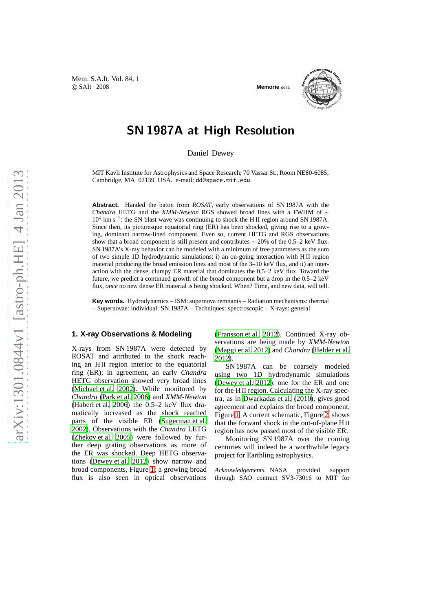



## SN 1987A at High Resolution

Daniel Dewey

MIT Kavli Institute for Astrophysics and Space Research; 70 Vassar St., Room NE80-6085; Cambridge, MA 02139 USA. e-mail: dd@space.mit.edu

**Abstract.** Handed the baton from *ROSAT*, early observations of SN 1987A with the *Chandra* HETG and the *XMM-Newton* RGS showed broad lines with a FWHM of ∼ 10<sup>4</sup> km s<sup>−</sup><sup>1</sup> : the SN blast wave was continuing to shock the H II region around SN 1987A. Since then, its picturesque equatorial ring (ER) has been shocked, giving rise to a growing, dominant narrow-lined component. Even so, current HETG and RGS observations show that a broad component is still present and contributes ∼ 20% of the 0.5–2 keV flux. SN 1987A's X-ray behavior can be modeled with a minimum of free parameters as the sum of two simple 1D hydrodynamic simulations: i) an on-going interaction with H II region material producing the broad emission lines and most of the 3–10 keV flux, and ii) an interaction with the dense, clumpy ER material that dominates the 0.5–2 keV flux. Toward the future, we predict a continued growth of the broad component but a drop in the 0.5–2 keV flux, *once* no new dense ER material is being shocked. When? Time, and new data, will tell.

**Key words.** Hydrodynamics – ISM: supernova remnants – Radiation mechanisms: thermal – Supernovae: individual: SN 1987A – Techniques: spectroscopic – X-rays: general

## **1. X-ray Observations & Modeling**

X-rays from SN 1987A were detected by ROSAT and attributed to the shock reaching an H<sub>II</sub> region interior to the equatorial ring (ER); in agreement, an early *Chandra* HETG observation showed very broad lines [\(Michael et al. 2002](#page-1-0)). While monitored by *Chandra* [\(Park et al. 2006\)](#page-1-1) and *XMM-Newton* [\(Haberl et al. 2006\)](#page-1-2) the 0.5–2 keV flux dramatically increased as the shock reached parts of the visible ER [\(Sugerman et al.](#page-1-3) [2002\)](#page-1-3). Observations with the *Chandra* LETG [\(Zhekov et al. 2005\)](#page-1-4) were followed by further deep grating observations as more of the ER was shocked. Deep HETG observations [\(Dewey et al. 2012\)](#page-1-5) show narrow and broad components, Figure [1;](#page-1-6) a growing broad flux is also seen in optical observations [\(Fransson et al. 2012](#page-1-7)). Continued X-ray observations are being made by *XMM-Newton* [\(Maggi et al. 2012](#page-1-8)) and *Chandra* [\(Helder et al.](#page-1-9) [2012\)](#page-1-9).

SN 1987A can be coarsely modeled using two 1D hydrodynamic simulations [\(Dewey et al. 2012\)](#page-1-5): one for the ER and one for the H II region. Calculating the X-ray spectra, as in [Dwarkadas et al. \(2010\)](#page-1-10), gives good agreement and explains the broad component, Figure [1.](#page-1-6) A current schematic, Figure [2,](#page-1-11) shows that the forward shock in the out-of-plane H II region has now passed most of the visible ER.

Monitoring SN 1987A over the coming centuries will indeed be a worthwhile legacy project for Earthling astrophysics.

*Acknowledgements.* NASA provided support through SAO contract SV3-73016 to MIT for